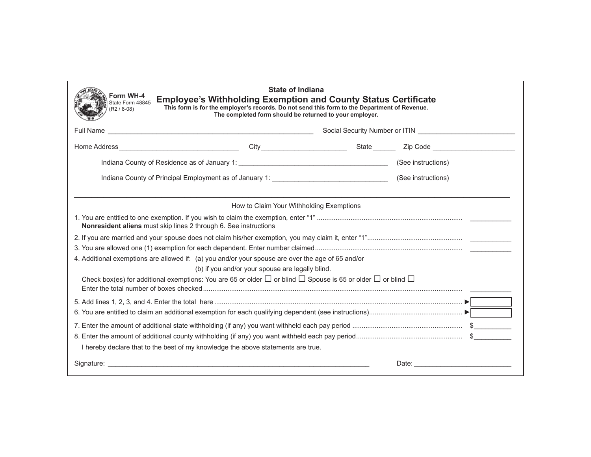| <b>State of Indiana</b><br>Form WH-4<br><b>Employee's Withholding Exemption and County Status Certificate</b><br>State Form 48845<br>This form is for the employer's records. Do not send this form to the Department of Revenue.<br>$(R2 / 8 - 08)$<br>The completed form should be returned to your employer. |                                                                                                                           |  |  |
|-----------------------------------------------------------------------------------------------------------------------------------------------------------------------------------------------------------------------------------------------------------------------------------------------------------------|---------------------------------------------------------------------------------------------------------------------------|--|--|
|                                                                                                                                                                                                                                                                                                                 | Social Security Number or ITIN <b>CONSERVANCE CONSERVANCE CONSERVANCE CONSERVANCE CONSERVANCE CONSERVANCE CONSERVANCE</b> |  |  |
|                                                                                                                                                                                                                                                                                                                 |                                                                                                                           |  |  |
|                                                                                                                                                                                                                                                                                                                 |                                                                                                                           |  |  |
|                                                                                                                                                                                                                                                                                                                 |                                                                                                                           |  |  |
| How to Claim Your Withholding Exemptions                                                                                                                                                                                                                                                                        |                                                                                                                           |  |  |
| Nonresident aliens must skip lines 2 through 6. See instructions                                                                                                                                                                                                                                                |                                                                                                                           |  |  |
|                                                                                                                                                                                                                                                                                                                 |                                                                                                                           |  |  |
|                                                                                                                                                                                                                                                                                                                 |                                                                                                                           |  |  |
| 4. Additional exemptions are allowed if: (a) you and/or your spouse are over the age of 65 and/or<br>(b) if you and/or your spouse are legally blind.                                                                                                                                                           |                                                                                                                           |  |  |
| Check box(es) for additional exemptions: You are 65 or older $\Box$ or blind $\Box$ Spouse is 65 or older $\Box$ or blind $\Box$                                                                                                                                                                                |                                                                                                                           |  |  |
|                                                                                                                                                                                                                                                                                                                 |                                                                                                                           |  |  |
|                                                                                                                                                                                                                                                                                                                 |                                                                                                                           |  |  |
|                                                                                                                                                                                                                                                                                                                 |                                                                                                                           |  |  |
|                                                                                                                                                                                                                                                                                                                 |                                                                                                                           |  |  |
| I hereby declare that to the best of my knowledge the above statements are true.                                                                                                                                                                                                                                |                                                                                                                           |  |  |
|                                                                                                                                                                                                                                                                                                                 |                                                                                                                           |  |  |